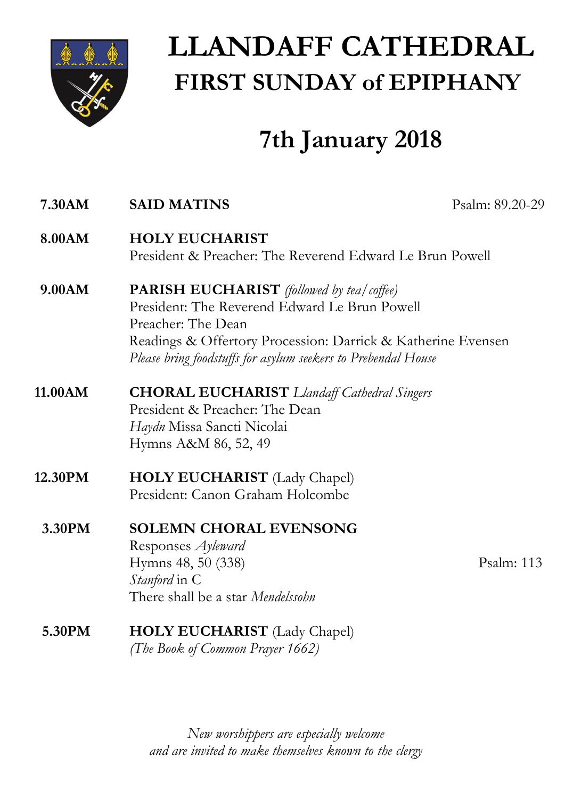

# **LLANDAFF CATHEDRAL FIRST SUNDAY of EPIPHANY**

# **7th January 2018**

| 7.30AM  | <b>SAID MATINS</b>                                            | Psalm: 89.20-29 |
|---------|---------------------------------------------------------------|-----------------|
| 8.00AM  | <b>HOLY EUCHARIST</b>                                         |                 |
|         | President & Preacher: The Reverend Edward Le Brun Powell      |                 |
| 9.00AM  | <b>PARISH EUCHARIST</b> (followed by tea/coffee)              |                 |
|         | President: The Reverend Edward Le Brun Powell                 |                 |
|         | Preacher: The Dean                                            |                 |
|         | Readings & Offertory Procession: Darrick & Katherine Evensen  |                 |
|         | Please bring foodstuffs for asylum seekers to Prebendal House |                 |
| 11.00AM | <b>CHORAL EUCHARIST</b> Llandaff Cathedral Singers            |                 |
|         | President & Preacher: The Dean                                |                 |
|         | Haydn Missa Sancti Nicolai                                    |                 |
|         | Hymns A&M 86, 52, 49                                          |                 |
| 12.30PM | <b>HOLY EUCHARIST</b> (Lady Chapel)                           |                 |
|         | President: Canon Graham Holcombe                              |                 |
| 3.30PM  | <b>SOLEMN CHORAL EVENSONG</b>                                 |                 |
|         | Responses Ayleward                                            |                 |
|         | Hymns 48, 50 (338)                                            | Psalm: 113      |
|         | Stanford in C                                                 |                 |
|         | There shall be a star Mendelssohn                             |                 |
| 5.30PM  | <b>HOLY EUCHARIST</b> (Lady Chapel)                           |                 |
|         | (The Book of Common Prayer 1662)                              |                 |
|         |                                                               |                 |

*New worshippers are especially welcome and are invited to make themselves known to the clergy*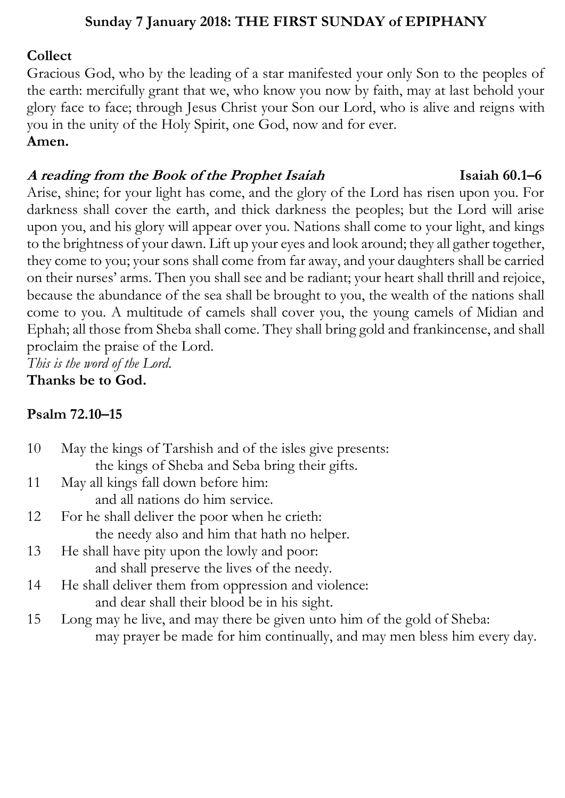## **Sunday 7 January 2018: THE FIRST SUNDAY of EPIPHANY**

#### **Collect**

Gracious God, who by the leading of a star manifested your only Son to the peoples of the earth: mercifully grant that we, who know you now by faith, may at last behold your glory face to face; through Jesus Christ your Son our Lord, who is alive and reigns with you in the unity of the Holy Spirit, one God, now and for ever. **Amen.**

### **A reading from the Book of the Prophet Isaiah Isaiah 60.1–6**

Arise, shine; for your light has come, and the glory of the Lord has risen upon you. For darkness shall cover the earth, and thick darkness the peoples; but the Lord will arise upon you, and his glory will appear over you. Nations shall come to your light, and kings to the brightness of your dawn. Lift up your eyes and look around; they all gather together, they come to you; your sons shall come from far away, and your daughters shall be carried on their nurses' arms. Then you shall see and be radiant; your heart shall thrill and rejoice, because the abundance of the sea shall be brought to you, the wealth of the nations shall come to you. A multitude of camels shall cover you, the young camels of Midian and Ephah; all those from Sheba shall come. They shall bring gold and frankincense, and shall proclaim the praise of the Lord.

*This is the word of the Lord*. **Thanks be to God.**

# **Psalm 72.10–15**

| 10 | May the kings of Tarshish and of the isles give presents:                |
|----|--------------------------------------------------------------------------|
|    | the kings of Sheba and Seba bring their gifts.                           |
| 11 | May all kings fall down before him:                                      |
|    | and all nations do him service.                                          |
| 12 | For he shall deliver the poor when he crieth:                            |
|    | the needy also and him that hath no helper.                              |
| 13 | He shall have pity upon the lowly and poor:                              |
|    | and shall preserve the lives of the needy.                               |
| 14 | He shall deliver them from oppression and violence:                      |
|    | and dear shall their blood be in his sight.                              |
| 15 | Long may he live, and may there be given unto him of the gold of Sheba:  |
|    | may prayer be made for him continually, and may men bless him every day. |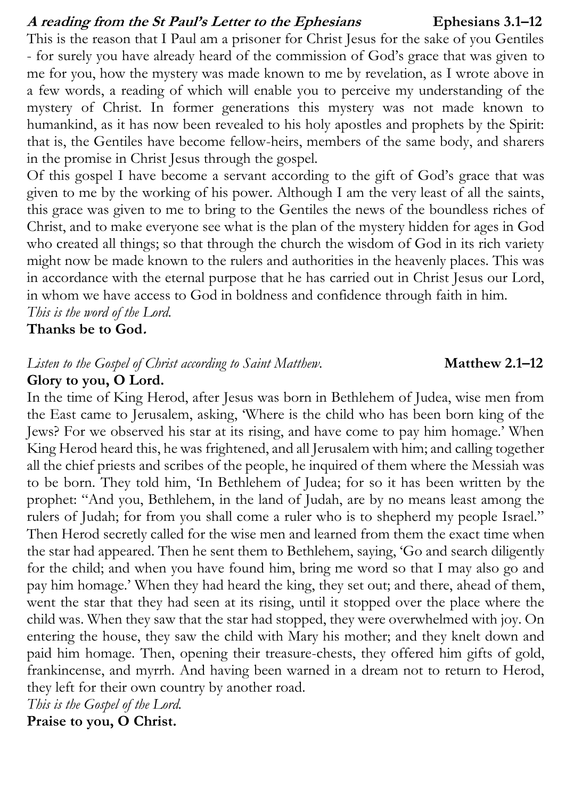#### **A reading from the St Paul's Letter to the Ephesians Ephesians 3.1–12**

This is the reason that I Paul am a prisoner for Christ Jesus for the sake of you Gentiles - for surely you have already heard of the commission of God's grace that was given to me for you, how the mystery was made known to me by revelation, as I wrote above in a few words, a reading of which will enable you to perceive my understanding of the mystery of Christ. In former generations this mystery was not made known to humankind, as it has now been revealed to his holy apostles and prophets by the Spirit: that is, the Gentiles have become fellow-heirs, members of the same body, and sharers in the promise in Christ Jesus through the gospel.

Of this gospel I have become a servant according to the gift of God's grace that was given to me by the working of his power. Although I am the very least of all the saints, this grace was given to me to bring to the Gentiles the news of the boundless riches of Christ, and to make everyone see what is the plan of the mystery hidden for ages in God who created all things; so that through the church the wisdom of God in its rich variety might now be made known to the rulers and authorities in the heavenly places. This was in accordance with the eternal purpose that he has carried out in Christ Jesus our Lord, in whom we have access to God in boldness and confidence through faith in him.

*This is the word of the Lord.* 

### **Thanks be to God.**

# *Listen to the Gospel of Christ according to Saint Matthew.* **Matthew 2.1–12**

#### **Glory to you, O Lord.**

In the time of King Herod, after Jesus was born in Bethlehem of Judea, wise men from the East came to Jerusalem, asking, 'Where is the child who has been born king of the Jews? For we observed his star at its rising, and have come to pay him homage.' When King Herod heard this, he was frightened, and all Jerusalem with him; and calling together all the chief priests and scribes of the people, he inquired of them where the Messiah was to be born. They told him, 'In Bethlehem of Judea; for so it has been written by the prophet: "And you, Bethlehem, in the land of Judah, are by no means least among the rulers of Judah; for from you shall come a ruler who is to shepherd my people Israel." Then Herod secretly called for the wise men and learned from them the exact time when the star had appeared. Then he sent them to Bethlehem, saying, 'Go and search diligently for the child; and when you have found him, bring me word so that I may also go and pay him homage.' When they had heard the king, they set out; and there, ahead of them, went the star that they had seen at its rising, until it stopped over the place where the child was. When they saw that the star had stopped, they were overwhelmed with joy. On entering the house, they saw the child with Mary his mother; and they knelt down and paid him homage. Then, opening their treasure-chests, they offered him gifts of gold, frankincense, and myrrh. And having been warned in a dream not to return to Herod, they left for their own country by another road.

*This is the Gospel of the Lord.*

**Praise to you, O Christ.**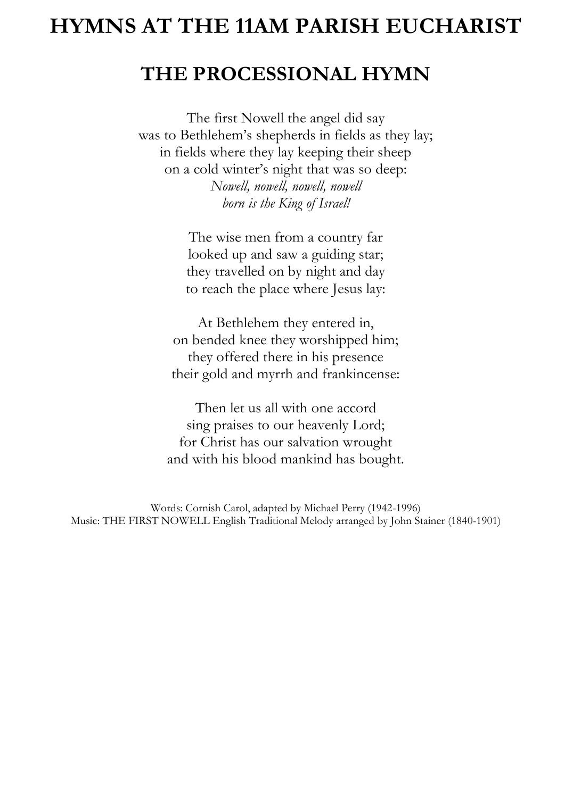# **HYMNS AT THE 11AM PARISH EUCHARIST**

# **THE PROCESSIONAL HYMN**

The first Nowell the angel did say was to Bethlehem's shepherds in fields as they lay; in fields where they lay keeping their sheep on a cold winter's night that was so deep: *Nowell, nowell, nowell, nowell born is the King of Israel!*

> The wise men from a country far looked up and saw a guiding star; they travelled on by night and day to reach the place where Jesus lay:

At Bethlehem they entered in, on bended knee they worshipped him; they offered there in his presence their gold and myrrh and frankincense:

Then let us all with one accord sing praises to our heavenly Lord; for Christ has our salvation wrought and with his blood mankind has bought.

Words: Cornish Carol, adapted by Michael Perry (1942-1996) Music: THE FIRST NOWELL English Traditional Melody arranged by John Stainer (1840-1901)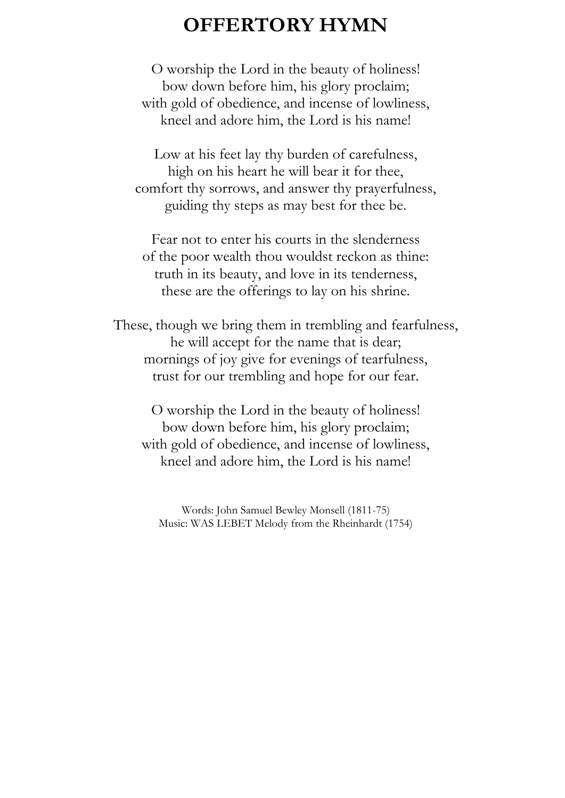# **OFFERTORY HYMN**

O worship the Lord in the beauty of holiness! bow down before him, his glory proclaim; with gold of obedience, and incense of lowliness, kneel and adore him, the Lord is his name!

Low at his feet lay thy burden of carefulness, high on his heart he will bear it for thee, comfort thy sorrows, and answer thy prayerfulness, guiding thy steps as may best for thee be.

Fear not to enter his courts in the slenderness of the poor wealth thou wouldst reckon as thine: truth in its beauty, and love in its tenderness, these are the offerings to lay on his shrine.

These, though we bring them in trembling and fearfulness, he will accept for the name that is dear; mornings of joy give for evenings of tearfulness, trust for our trembling and hope for our fear.

O worship the Lord in the beauty of holiness! bow down before him, his glory proclaim; with gold of obedience, and incense of lowliness, kneel and adore him, the Lord is his name!

Words: John Samuel Bewley Monsell (1811-75) Music: WAS LEBET Melody from the Rheinhardt (1754)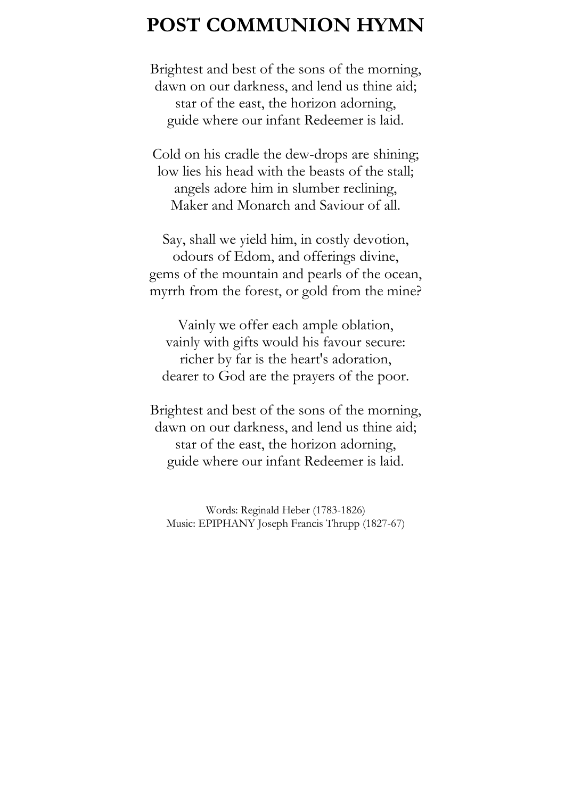# **POST COMMUNION HYMN**

Brightest and best of the sons of the morning, dawn on our darkness, and lend us thine aid; star of the east, the horizon adorning, guide where our infant Redeemer is laid.

Cold on his cradle the dew-drops are shining; low lies his head with the beasts of the stall; angels adore him in slumber reclining, Maker and Monarch and Saviour of all.

Say, shall we yield him, in costly devotion, odours of Edom, and offerings divine, gems of the mountain and pearls of the ocean, myrrh from the forest, or gold from the mine?

Vainly we offer each ample oblation, vainly with gifts would his favour secure: richer by far is the heart's adoration, dearer to God are the prayers of the poor.

Brightest and best of the sons of the morning, dawn on our darkness, and lend us thine aid; star of the east, the horizon adorning, guide where our infant Redeemer is laid.

Words: Reginald Heber (1783-1826) Music: EPIPHANY Joseph Francis Thrupp (1827-67)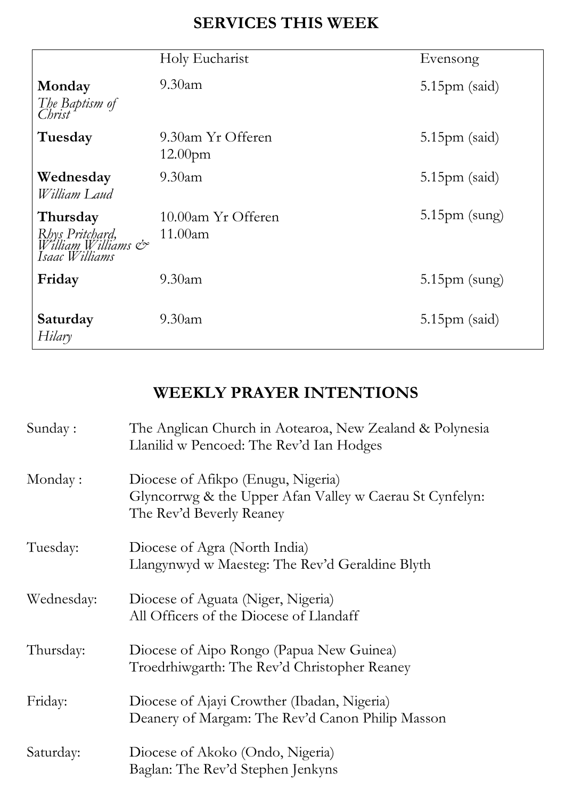# **SERVICES THIS WEEK**

|                                                                     | Holy Eucharist                           | Evensong                |
|---------------------------------------------------------------------|------------------------------------------|-------------------------|
| Monday<br>The Baptism of<br>Christ                                  | $9.30$ am                                | $5.15 \text{pm}$ (said) |
| Tuesday                                                             | 9.30am Yr Offeren<br>12.00 <sub>pm</sub> | $5.15 \text{pm}$ (said) |
| Wednesday<br>William Laud                                           | $9.30$ am                                | $5.15 \text{pm}$ (said) |
| Thursday<br>Rhys Pritchard,<br>William Williams &<br>Isaac Williams | 10.00am Yr Offeren<br>11.00am            | $5.15 \text{pm}$ (sung) |
| Friday                                                              | $9.30$ am                                | $5.15 \text{pm}$ (sung) |
| Saturday<br>Hilary                                                  | $9.30$ am                                | $5.15 \text{pm}$ (said) |

# **WEEKLY PRAYER INTENTIONS**

| Sunday:    | The Anglican Church in Aotearoa, New Zealand & Polynesia<br>Llanilid w Pencoed: The Rev'd Ian Hodges                       |
|------------|----------------------------------------------------------------------------------------------------------------------------|
| Monday:    | Diocese of Afikpo (Enugu, Nigeria)<br>Glyncorrwg & the Upper Afan Valley w Caerau St Cynfelyn:<br>The Rev'd Beverly Reaney |
| Tuesday:   | Diocese of Agra (North India)<br>Llangynwyd w Maesteg: The Rev'd Geraldine Blyth                                           |
| Wednesday: | Diocese of Aguata (Niger, Nigeria)<br>All Officers of the Diocese of Llandaff                                              |
| Thursday:  | Diocese of Aipo Rongo (Papua New Guinea)<br>Troedrhiwgarth: The Rev'd Christopher Reaney                                   |
| Friday:    | Diocese of Ajayi Crowther (Ibadan, Nigeria)<br>Deanery of Margam: The Rev'd Canon Philip Masson                            |
| Saturday:  | Diocese of Akoko (Ondo, Nigeria)<br>Baglan: The Rev'd Stephen Jenkyns                                                      |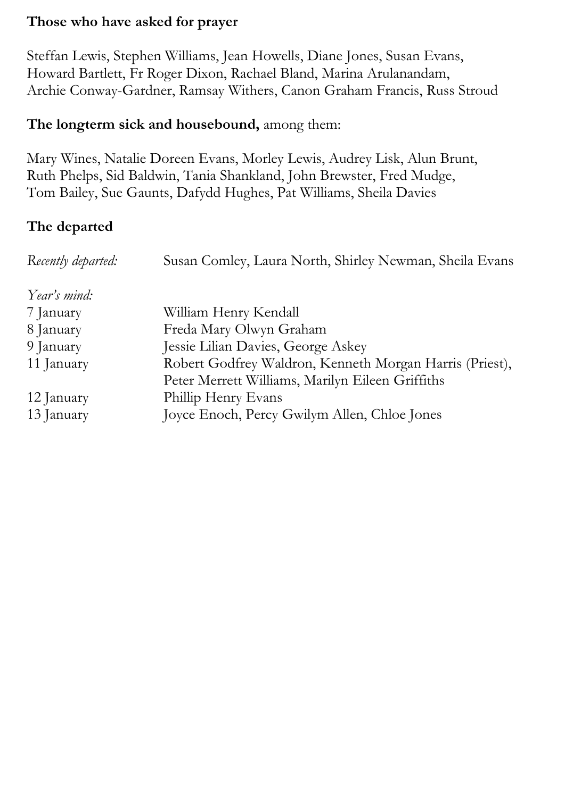#### **Those who have asked for prayer**

Steffan Lewis, Stephen Williams, Jean Howells, Diane Jones, Susan Evans, Howard Bartlett, Fr Roger Dixon, Rachael Bland, Marina Arulanandam, Archie Conway-Gardner, Ramsay Withers, Canon Graham Francis, Russ Stroud

## **The longterm sick and housebound,** among them:

Mary Wines, Natalie Doreen Evans, Morley Lewis, Audrey Lisk, Alun Brunt, Ruth Phelps, Sid Baldwin, Tania Shankland, John Brewster, Fred Mudge, Tom Bailey, Sue Gaunts, Dafydd Hughes, Pat Williams, Sheila Davies

# **The departed**

| Recently departed: | Susan Comley, Laura North, Shirley Newman, Sheila Evans |
|--------------------|---------------------------------------------------------|
| Year's mind:       |                                                         |
| 7 January          | William Henry Kendall                                   |
| 8 January          | Freda Mary Olwyn Graham                                 |
| 9 January          | Jessie Lilian Davies, George Askey                      |
| 11 January         | Robert Godfrey Waldron, Kenneth Morgan Harris (Priest), |
|                    | Peter Merrett Williams, Marilyn Eileen Griffiths        |
| 12 January         | Phillip Henry Evans                                     |
| 13 January         | Joyce Enoch, Percy Gwilym Allen, Chloe Jones            |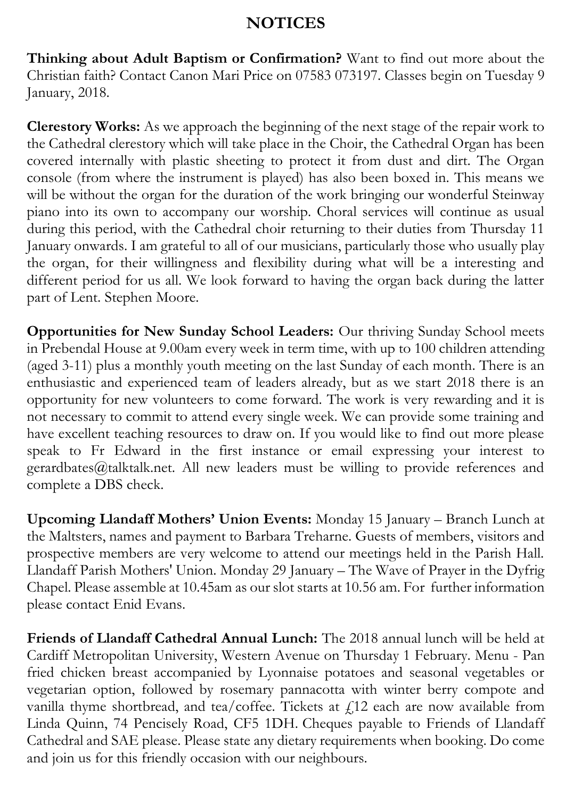# **NOTICES**

**Thinking about Adult Baptism or Confirmation?** Want to find out more about the Christian faith? Contact Canon Mari Price on 07583 073197. Classes begin on Tuesday 9 January, 2018.

**Clerestory Works:** As we approach the beginning of the next stage of the repair work to the Cathedral clerestory which will take place in the Choir, the Cathedral Organ has been covered internally with plastic sheeting to protect it from dust and dirt. The Organ console (from where the instrument is played) has also been boxed in. This means we will be without the organ for the duration of the work bringing our wonderful Steinway piano into its own to accompany our worship. Choral services will continue as usual during this period, with the Cathedral choir returning to their duties from Thursday 11 January onwards. I am grateful to all of our musicians, particularly those who usually play the organ, for their willingness and flexibility during what will be a interesting and different period for us all. We look forward to having the organ back during the latter part of Lent. Stephen Moore.

**Opportunities for New Sunday School Leaders:** Our thriving Sunday School meets in Prebendal House at 9.00am every week in term time, with up to 100 children attending (aged 3-11) plus a monthly youth meeting on the last Sunday of each month. There is an enthusiastic and experienced team of leaders already, but as we start 2018 there is an opportunity for new volunteers to come forward. The work is very rewarding and it is not necessary to commit to attend every single week. We can provide some training and have excellent teaching resources to draw on. If you would like to find out more please speak to Fr Edward in the first instance or email expressing your interest to gerardbates@talktalk.net. All new leaders must be willing to provide references and complete a DBS check.

**Upcoming Llandaff Mothers' Union Events:** Monday 15 January – Branch Lunch at the Maltsters, names and payment to Barbara Treharne. Guests of members, visitors and prospective members are very welcome to attend our meetings held in the Parish Hall. Llandaff Parish Mothers' Union. Monday 29 January – The Wave of Prayer in the Dyfrig Chapel. Please assemble at 10.45am as our slot starts at 10.56 am. For further information please contact Enid Evans.

**Friends of Llandaff Cathedral Annual Lunch:** The 2018 annual lunch will be held at Cardiff Metropolitan University, Western Avenue on Thursday 1 February. Menu - Pan fried chicken breast accompanied by Lyonnaise potatoes and seasonal vegetables or vegetarian option, followed by rosemary pannacotta with winter berry compote and vanilla thyme shortbread, and tea/coffee. Tickets at  $f$ ,12 each are now available from Linda Quinn, 74 Pencisely Road, CF5 1DH. Cheques payable to Friends of Llandaff Cathedral and SAE please. Please state any dietary requirements when booking. Do come and join us for this friendly occasion with our neighbours.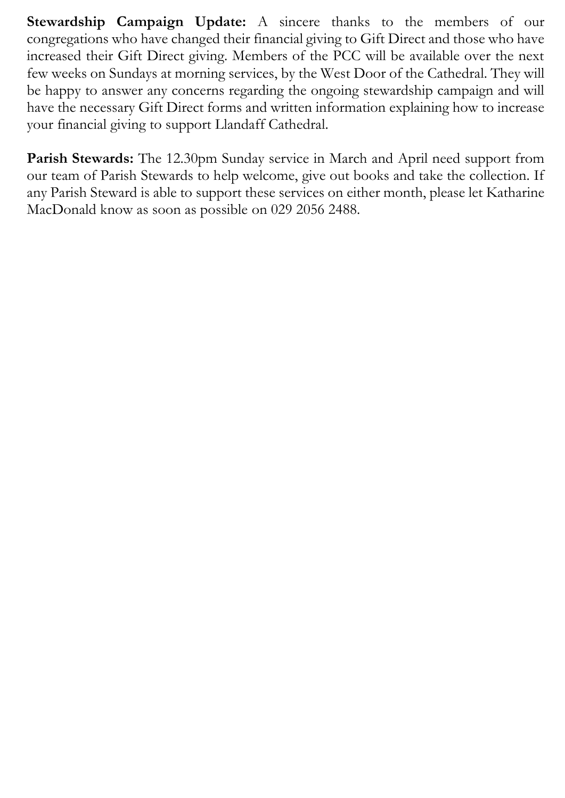**Stewardship Campaign Update:** A sincere thanks to the members of our congregations who have changed their financial giving to Gift Direct and those who have increased their Gift Direct giving. Members of the PCC will be available over the next few weeks on Sundays at morning services, by the West Door of the Cathedral. They will be happy to answer any concerns regarding the ongoing stewardship campaign and will have the necessary Gift Direct forms and written information explaining how to increase your financial giving to support Llandaff Cathedral.

**Parish Stewards:** The 12.30pm Sunday service in March and April need support from our team of Parish Stewards to help welcome, give out books and take the collection. If any Parish Steward is able to support these services on either month, please let Katharine MacDonald know as soon as possible on 029 2056 2488.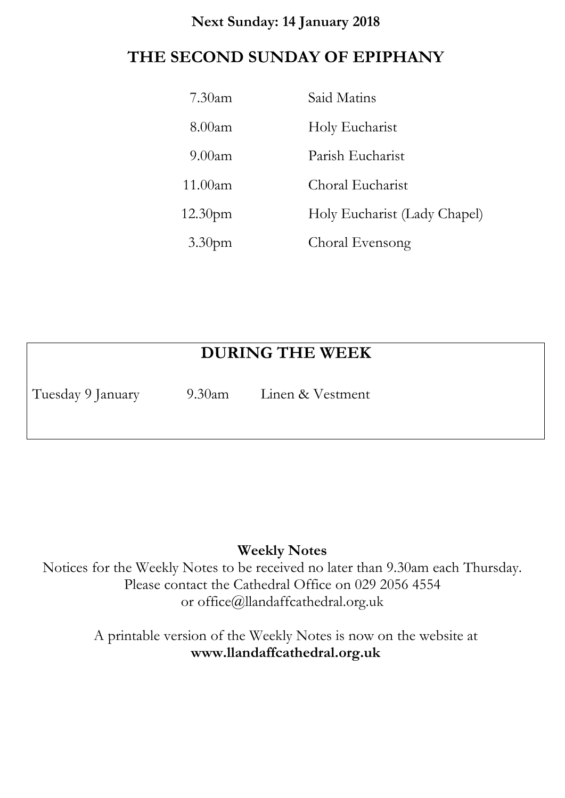# **Next Sunday: 14 January 2018**

# **THE SECOND SUNDAY OF EPIPHANY**

| $7.30$ am           | Said Matins                  |
|---------------------|------------------------------|
| $8.00$ am           | Holy Eucharist               |
| 9.00am              | Parish Eucharist             |
| 11.00am             | Choral Eucharist             |
| 12.30 <sub>pm</sub> | Holy Eucharist (Lady Chapel) |
| 3.30 <sub>pm</sub>  | Choral Evensong              |

# **DURING THE WEEK**

Tuesday 9 January 9.30am Linen & Vestment

# **Weekly Notes**

Notices for the Weekly Notes to be received no later than 9.30am each Thursday. Please contact the Cathedral Office on 029 2056 4554 or office@llandaffcathedral.org.uk

> A printable version of the Weekly Notes is now on the website at **[www.llandaffcathedral.org.uk](http://www.llandaffcathedral.org.uk/)**